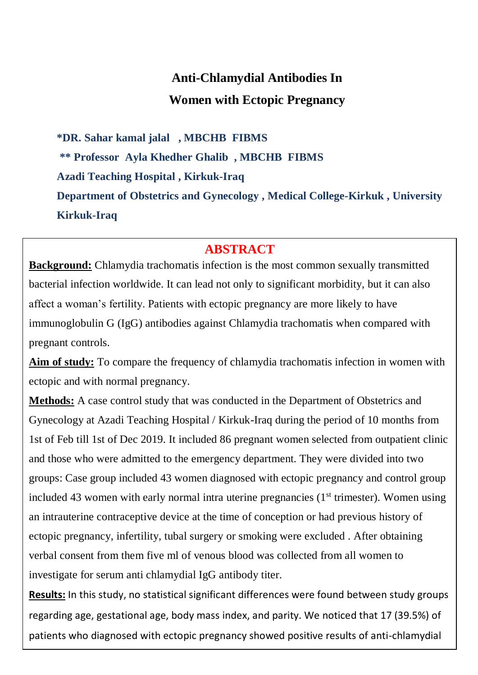# **Anti-Chlamydial Antibodies In Women with Ectopic Pregnancy**

**\*DR. Sahar kamal jalal , MBCHB FIBMS \*\* Professor Ayla Khedher Ghalib , MBCHB FIBMS Azadi Teaching Hospital , Kirkuk-Iraq Department of Obstetrics and Gynecology , Medical College-Kirkuk , University Kirkuk-Iraq**

# **ABSTRACT**

**Background:** Chlamydia trachomatis infection is the most common sexually transmitted bacterial infection worldwide. It can lead not only to significant morbidity, but it can also affect a woman's fertility. Patients with ectopic pregnancy are more likely to have immunoglobulin G (IgG) antibodies against Chlamydia trachomatis when compared with pregnant controls.

**Aim of study:** To compare the frequency of chlamydia trachomatis infection in women with ectopic and with normal pregnancy.

**Methods:** A case control study that was conducted in the Department of Obstetrics and Gynecology at Azadi Teaching Hospital / Kirkuk-Iraq during the period of 10 months from 1st of Feb till 1st of Dec 2019. It included 86 pregnant women selected from outpatient clinic and those who were admitted to the emergency department. They were divided into two groups: Case group included 43 women diagnosed with ectopic pregnancy and control group included 43 women with early normal intra uterine pregnancies  $(1<sup>st</sup>$  trimester). Women using an intrauterine contraceptive device at the time of conception or had previous history of ectopic pregnancy, infertility, tubal surgery or smoking were excluded . After obtaining verbal consent from them five ml of venous blood was collected from all women to investigate for serum anti chlamydial IgG antibody titer.

patients who diagnosed with ectopic pregnancy showed positive results of anti-chlamydial **Results:** In this study, no statistical significant differences were found between study groups regarding age, gestational age, body mass index, and parity. We noticed that 17 (39.5%) of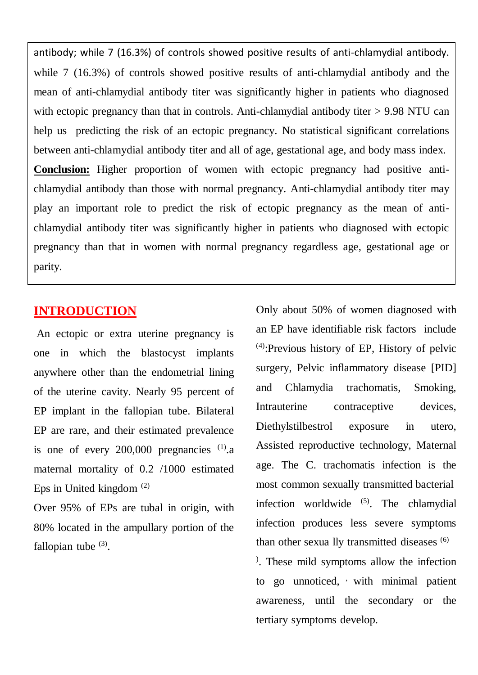antibody; while 7 (16.3%) of controls showed positive results of anti-chlamydial antibody. while 7 (16.3%) of controls showed positive results of anti-chlamydial antibody and the mean of anti-chlamydial antibody titer was significantly higher in patients who diagnosed with ectopic pregnancy than that in controls. Anti-chlamydial antibody titer > 9.98 NTU can help us predicting the risk of an ectopic pregnancy. No statistical significant correlations between anti-chlamydial antibody titer and all of age, gestational age, and body mass index. **Conclusion:** Higher proportion of women with ectopic pregnancy had positive antichlamydial antibody than those with normal pregnancy. Anti-chlamydial antibody titer may play an important role to predict the risk of ectopic pregnancy as the mean of antichlamydial antibody titer was significantly higher in patients who diagnosed with ectopic pregnancy than that in women with normal pregnancy regardless age, gestational age or parity.

### **INTRODUCTION**

An ectopic or extra uterine pregnancy is one in which the blastocyst implants anywhere other than the endometrial lining of the uterine cavity. Nearly 95 percent of EP implant in the fallopian tube. Bilateral EP are rare, and their estimated prevalence is one of every  $200,000$  pregnancies  $(1)$ .a maternal mortality of 0.2 /1000 estimated Eps in United kingdom (2)

Over 95% of EPs are tubal in origin, with 80% located in the ampullary portion of the fallopian tube  $(3)$ .

Only about 50% of women diagnosed with an EP have identifiable risk factors include (4) :Previous history of EP, History of pelvic surgery, Pelvic inflammatory disease [PID] and Chlamydia trachomatis, Smoking, Intrauterine contraceptive devices, Diethylstilbestrol exposure in utero, Assisted reproductive technology, Maternal age. The C. trachomatis infection is the most common sexually transmitted bacterial infection worldwide  $(5)$ . The chlamydial infection produces less severe symptoms than other sexua lly transmitted diseases (6) ) . These mild symptoms allow the infection to go unnoticed, with minimal patient awareness, until the secondary or the tertiary symptoms develop.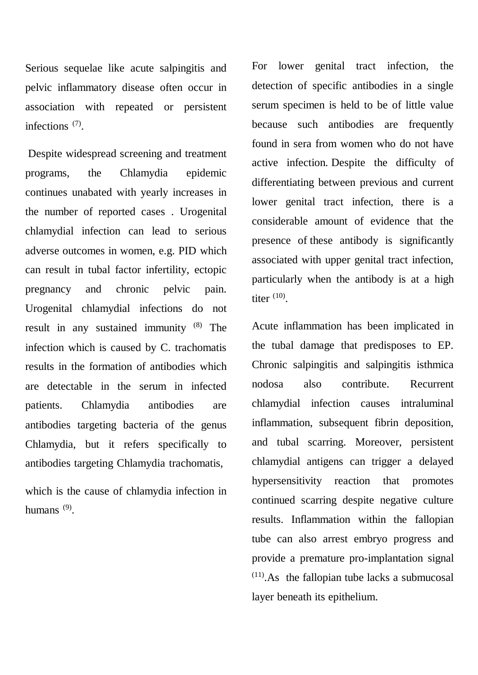Serious sequelae like acute salpingitis and pelvic inflammatory disease often occur in association with repeated or persistent infections<sup>(7)</sup>.

Despite widespread screening and treatment programs, the Chlamydia epidemic continues unabated with yearly increases in the number of reported cases . Urogenital chlamydial infection can lead to serious adverse outcomes in women, e.g. PID which can result in tubal factor infertility, ectopic pregnancy and chronic pelvic pain. Urogenital chlamydial infections do not result in any sustained immunity (8) The infection which is caused by C. trachomatis results in the formation of antibodies which are detectable in the serum in infected patients. Chlamydia antibodies are antibodies targeting bacteria of the genus Chlamydia, but it refers specifically to antibodies targeting Chlamydia trachomatis,

which is the cause of chlamydia infection in humans<sup>(9)</sup>.

For lower genital tract infection, the detection of specific antibodies in a single serum specimen is held to be of little value because such antibodies are frequently found in sera from women who do not have active infection. Despite the difficulty of differentiating between previous and current lower genital tract infection, there is a considerable amount of evidence that the presence of these antibody is significantly associated with upper genital tract infection, particularly when the antibody is at a high titer  $(10)$ .

Acute inflammation has been implicated in the tubal damage that predisposes to EP. Chronic salpingitis and salpingitis isthmica nodosa also contribute. Recurrent chlamydial infection causes intraluminal inflammation, subsequent fibrin deposition, and tubal scarring. Moreover, persistent chlamydial antigens can trigger a delayed hypersensitivity reaction that promotes continued scarring despite negative culture results. Inflammation within the fallopian tube can also arrest embryo progress and provide a premature pro-implantation signal  $(11)$ . As the fallopian tube lacks a submucosal layer beneath its epithelium.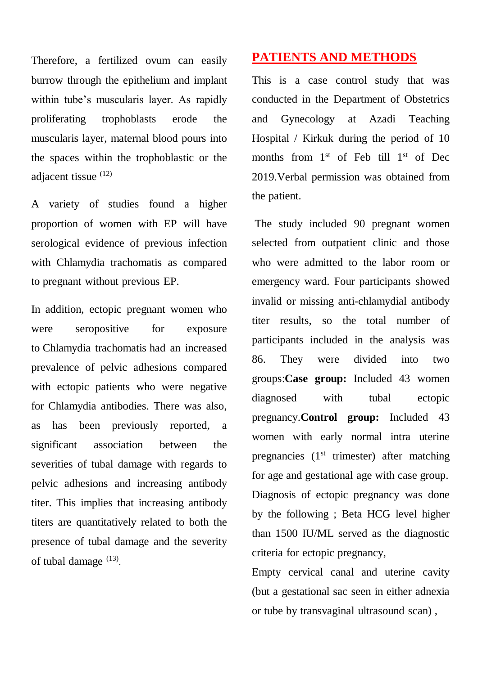Therefore, a fertilized ovum can easily burrow through the epithelium and implant within tube's muscularis layer. As rapidly proliferating trophoblasts erode the muscularis layer, maternal blood pours into the spaces within the trophoblastic or the adjacent tissue (12)

A variety of studies found a higher proportion of women with EP will have serological evidence of previous infection with Chlamydia trachomatis as compared to pregnant without previous EP.

In addition, ectopic pregnant women who were seropositive for exposure to Chlamydia trachomatis had an increased prevalence of pelvic adhesions compared with ectopic patients who were negative for Chlamydia antibodies. There was also, as has been previously reported, a significant association between the severities of tubal damage with regards to pelvic adhesions and increasing antibody titer. This implies that increasing antibody titers are quantitatively related to both the presence of tubal damage and the severity of tubal damage  $^{(13)}$ .

## **PATIENTS AND METHODS**

This is a case control study that was conducted in the Department of Obstetrics and Gynecology at Azadi Teaching Hospital / Kirkuk during the period of 10 months from 1<sup>st</sup> of Feb till 1<sup>st</sup> of Dec 2019.Verbal permission was obtained from the patient.

The study included 90 pregnant women selected from outpatient clinic and those who were admitted to the labor room or emergency ward. Four participants showed invalid or missing anti-chlamydial antibody titer results, so the total number of participants included in the analysis was 86. They were divided into two groups:**Case group:** Included 43 women diagnosed with tubal ectopic pregnancy.**Control group:** Included 43 women with early normal intra uterine pregnancies  $(1<sup>st</sup>$  trimester) after matching for age and gestational age with case group. Diagnosis of ectopic pregnancy was done by the following ; Beta HCG level higher than 1500 IU/ML served as the diagnostic criteria for ectopic pregnancy,

Empty cervical canal and uterine cavity (but a gestational sac seen in either adnexia or tube by transvaginal ultrasound scan) ,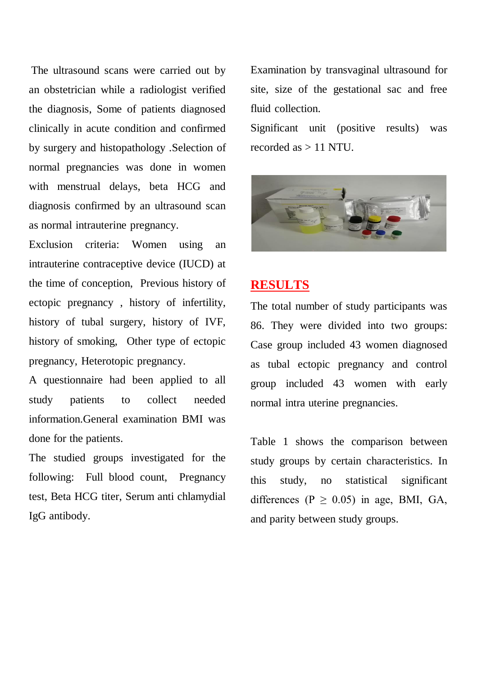The ultrasound scans were carried out by an obstetrician while a radiologist verified the diagnosis, Some of patients diagnosed clinically in acute condition and confirmed by surgery and histopathology .Selection of normal pregnancies was done in women with menstrual delays, beta HCG and diagnosis confirmed by an ultrasound scan as normal intrauterine pregnancy.

Exclusion criteria: Women using an intrauterine contraceptive device (IUCD) at the time of conception, Previous history of ectopic pregnancy , history of infertility, history of tubal surgery, history of IVF, history of smoking, Other type of ectopic pregnancy, Heterotopic pregnancy.

A questionnaire had been applied to all study patients to collect needed information.General examination BMI was done for the patients.

The studied groups investigated for the following: Full blood count, Pregnancy test, Beta HCG titer, Serum anti chlamydial IgG antibody.

Examination by transvaginal ultrasound for site, size of the gestational sac and free fluid collection.

Significant unit (positive results) was recorded as > 11 NTU.



### **RESULTS**

The total number of study participants was 86. They were divided into two groups: Case group included 43 women diagnosed as tubal ectopic pregnancy and control group included 43 women with early normal intra uterine pregnancies.

Table 1 shows the comparison between study groups by certain characteristics. In this study, no statistical significant differences ( $P \ge 0.05$ ) in age, BMI, GA, and parity between study groups.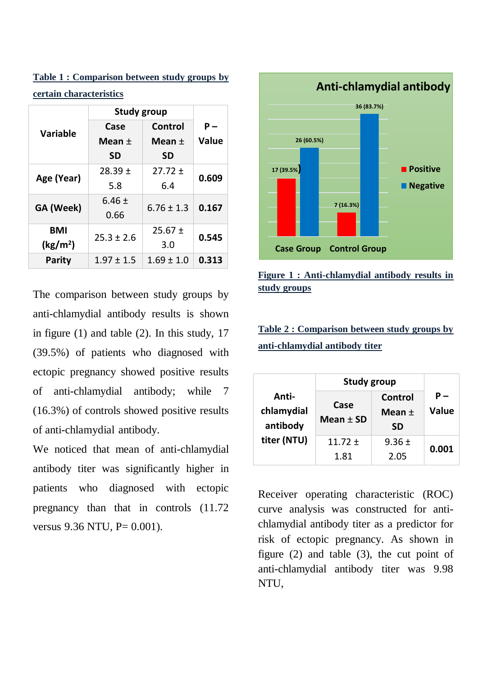**Table 1 : Comparison between study groups by certain characteristics**

|                      | <b>Study group</b> |                |              |  |
|----------------------|--------------------|----------------|--------------|--|
| <b>Variable</b>      | Case               | Control        | Р –          |  |
|                      | Mean $\pm$         | Mean $\pm$     | <b>Value</b> |  |
|                      | <b>SD</b>          | <b>SD</b>      |              |  |
| Age (Year)           | $28.39 \pm$        | $27.72 \pm$    | 0.609        |  |
|                      | 5.8                | 6.4            |              |  |
| GA (Week)            | $6.46 \pm$         | $6.76 \pm 1.3$ | 0.167        |  |
|                      | 0.66               |                |              |  |
| <b>BMI</b>           | $25.3 \pm 2.6$     | $25.67 \pm$    | 0.545        |  |
| (kg/m <sup>2</sup> ) |                    | 3.0            |              |  |
| <b>Parity</b>        | $1.97 \pm 1.5$     | $1.69 \pm 1.0$ | 0.313        |  |

The comparison between study groups by anti-chlamydial antibody results is shown in figure (1) and table (2). In this study, 17 (39.5%) of patients who diagnosed with ectopic pregnancy showed positive results of anti-chlamydial antibody; while 7 (16.3%) of controls showed positive results of anti-chlamydial antibody.

We noticed that mean of anti-chlamydial antibody titer was significantly higher in patients who diagnosed with ectopic pregnancy than that in controls (11.72 versus 9.36 NTU, P= 0.001).



#### **Figure 1 : Anti-chlamydial antibody results in study groups**

**Table 2 : Comparison between study groups by anti-chlamydial antibody titer**

|                     | <b>Study group</b> |                         |                                          |  |
|---------------------|--------------------|-------------------------|------------------------------------------|--|
| Anti-<br>chlamydial | Case               | Control                 | $\overline{\phantom{0}}$<br><b>Value</b> |  |
| antibody            | Mean $\pm$ SD      | Mean $\pm$<br><b>SD</b> |                                          |  |
| titer (NTU)         | $11.72 \pm$        | $9.36 \pm$              | 0.001                                    |  |
|                     | 1.81               | 2.05                    |                                          |  |

Receiver operating characteristic (ROC) curve analysis was constructed for antichlamydial antibody titer as a predictor for risk of ectopic pregnancy. As shown in figure (2) and table (3), the cut point of anti-chlamydial antibody titer was 9.98 NTU,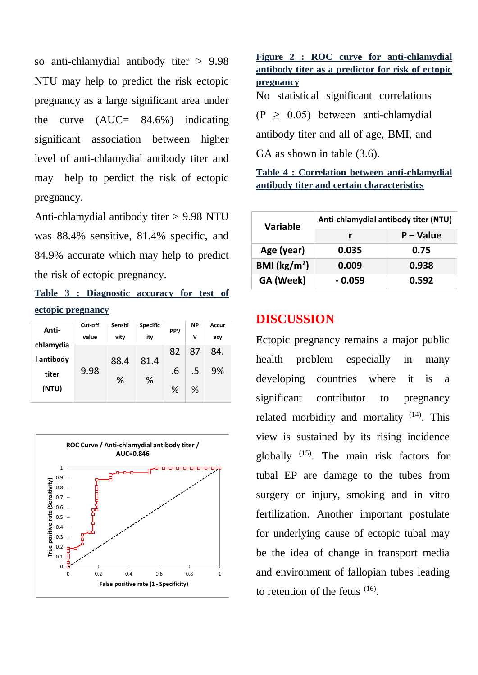so anti-chlamydial antibody titer > 9.98 NTU may help to predict the risk ectopic pregnancy as a large significant area under the curve  $(AUC= 84.6\%)$  indicating significant association between higher level of anti-chlamydial antibody titer and may help to perdict the risk of ectopic pregnancy.

Anti-chlamydial antibody titer > 9.98 NTU was 88.4% sensitive, 81.4% specific, and 84.9% accurate which may help to predict the risk of ectopic pregnancy.

**Table 3 : Diagnostic accuracy for test of ectopic pregnancy**

| Anti-                   | Cut-off<br>value | Sensiti<br>vity | <b>Specific</b><br>ity | <b>PPV</b> | <b>NP</b><br>v | Accur<br>acy |
|-------------------------|------------------|-----------------|------------------------|------------|----------------|--------------|
| chlamydia<br>I antibody |                  | 88.4            | 81.4                   | 82         | 87             | 84.          |
| titer                   | 9.98             | %               | %                      | .6         | .5             | 9%           |
| (NTU)                   |                  |                 |                        | %          | ℅              |              |



**Figure 2 : ROC curve for anti-chlamydial antibody titer as a predictor for risk of ectopic pregnancy** No statistical significant correlations  $(P \geq 0.05)$  between anti-chlamydial antibody titer and all of age, BMI, and GA as shown in table  $(3.6)$ .

**Table 4 : Correlation between anti-chlamydial antibody titer and certain characteristics**

| <b>Variable</b>         | Anti-chlamydial antibody titer (NTU) |             |  |
|-------------------------|--------------------------------------|-------------|--|
|                         |                                      | $P - Value$ |  |
| Age (year)              | 0.035                                | 0.75        |  |
| BMI ( $\text{kg/m}^2$ ) | 0.009                                | 0.938       |  |
| GA (Week)               | $-0.059$                             | 0.592       |  |

### **DISCUSSION**

Ectopic pregnancy remains a major public health problem especially in many developing countries where it is a significant contributor to pregnancy related morbidity and mortality  $(14)$ . This view is sustained by its rising incidence globally (15) . The main risk factors for tubal EP are damage to the tubes from surgery or injury, smoking and in vitro fertilization. Another important postulate for underlying cause of ectopic tubal may be the idea of change in transport media and environment of fallopian tubes leading to retention of the fetus  $(16)$ .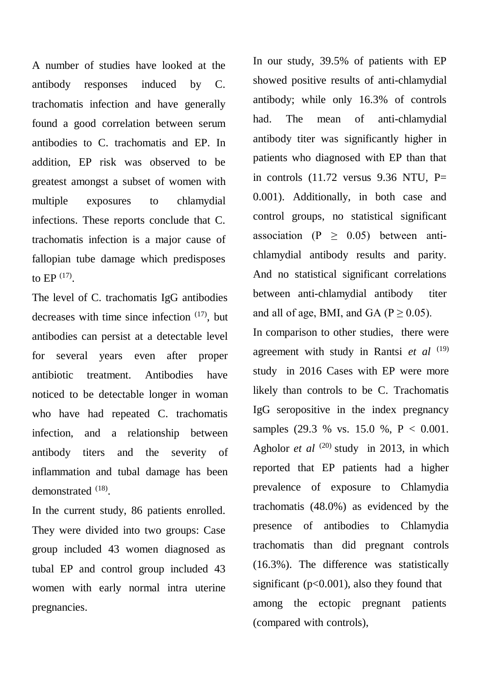A number of studies have looked at the antibody responses induced by C. trachomatis infection and have generally found a good correlation between serum antibodies to C. trachomatis and EP. In addition, EP risk was observed to be greatest amongst a subset of women with multiple exposures to chlamydial infections. These reports conclude that C. trachomatis infection is a major cause of fallopian tube damage which predisposes to EP  $^{(17)}$ .

The level of C. trachomatis IgG antibodies decreases with time since infection (17) , but antibodies can persist at a detectable level for several years even after proper antibiotic treatment. Antibodies have noticed to be detectable longer in woman who have had repeated C. trachomatis infection, and a relationship between antibody titers and the severity of inflammation and tubal damage has been demonstrated  $^{(18)}$ .

In the current study, 86 patients enrolled. They were divided into two groups: Case group included 43 women diagnosed as tubal EP and control group included 43 women with early normal intra uterine pregnancies.

In our study, 39.5% of patients with EP showed positive results of anti-chlamydial antibody; while only 16.3% of controls had. The mean of anti-chlamydial antibody titer was significantly higher in patients who diagnosed with EP than that in controls  $(11.72 \text{ versus } 9.36 \text{ NTU}, P=$ 0.001). Additionally, in both case and control groups, no statistical significant association (P  $\geq$  0.05) between antichlamydial antibody results and parity. And no statistical significant correlations between anti-chlamydial antibody titer and all of age, BMI, and GA ( $P \ge 0.05$ ).

In comparison to other studies, there were agreement with study in Rantsi *et al* <sup>(19)</sup> study in 2016 Cases with EP were more likely than controls to be C. Trachomatis IgG seropositive in the index pregnancy samples (29.3 % vs. 15.0 %, P < 0.001. Agholor *et al* <sup>(20)</sup> study in 2013, in which reported that EP patients had a higher prevalence of exposure to Chlamydia trachomatis (48.0%) as evidenced by the presence of antibodies to Chlamydia trachomatis than did pregnant controls (16.3%). The difference was statistically significant ( $p<0.001$ ), also they found that among the ectopic pregnant patients (compared with controls),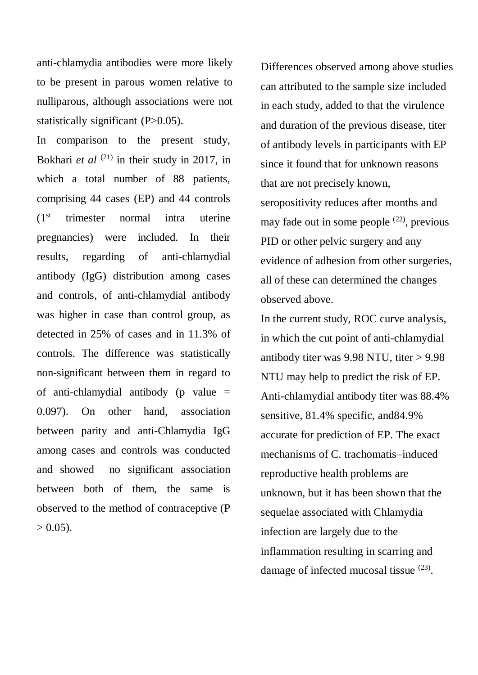anti-chlamydia antibodies were more likely to be present in parous women relative to nulliparous, although associations were not statistically significant (P>0.05).

In comparison to the present study, Bokhari *et al*  $(21)$  in their study in 2017, in which a total number of 88 patients, comprising 44 cases (EP) and 44 controls (1st trimester normal intra uterine pregnancies) were included. In their results, regarding of anti-chlamydial antibody (IgG) distribution among cases and controls, of anti-chlamydial antibody was higher in case than control group, as detected in 25% of cases and in 11.3% of controls. The difference was statistically non-significant between them in regard to of anti-chlamydial antibody (p value  $=$ 0.097). On other hand, association between parity and anti-Chlamydia IgG among cases and controls was conducted and showed no significant association between both of them, the same is observed to the method of contraceptive (P  $> 0.05$ ).

Differences observed among above studies can attributed to the sample size included in each study, added to that the virulence and duration of the previous disease, titer of antibody levels in participants with EP since it found that for unknown reasons that are not precisely known, seropositivity reduces after months and may fade out in some people  $(22)$ , previous PID or other pelvic surgery and any evidence of adhesion from other surgeries, all of these can determined the changes observed above.

In the current study, ROC curve analysis, in which the cut point of anti-chlamydial antibody titer was  $9.98$  NTU, titer  $> 9.98$ NTU may help to predict the risk of EP. Anti-chlamydial antibody titer was 88.4% sensitive, 81.4% specific, and84.9% accurate for prediction of EP. The exact mechanisms of C. trachomatis–induced reproductive health problems are unknown, but it has been shown that the sequelae associated with Chlamydia infection are largely due to the inflammation resulting in scarring and damage of infected mucosal tissue <sup>(23)</sup>.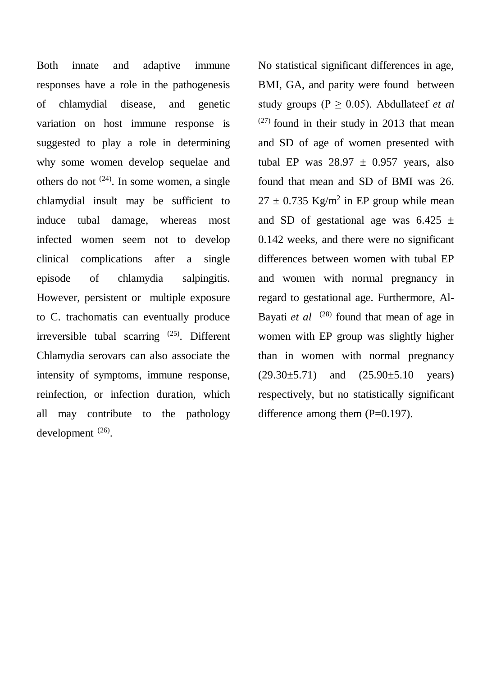Both innate and adaptive immune responses have a role in the pathogenesis of chlamydial disease, and genetic variation on host immune response is suggested to play a role in determining why some women develop sequelae and others do not  $(24)$ . In some women, a single chlamydial insult may be sufficient to induce tubal damage, whereas most infected women seem not to develop clinical complications after a single episode of chlamydia salpingitis. However, persistent or multiple exposure to C. trachomatis can eventually produce irreversible tubal scarring  $(25)$ . Different Chlamydia serovars can also associate the intensity of symptoms, immune response, reinfection, or infection duration, which all may contribute to the pathology development  $^{(26)}$ .

No statistical significant differences in age, BMI, GA, and parity were found between study groups ( $P \ge 0.05$ ). Abdullateef *et al*  $(27)$  found in their study in 2013 that mean and SD of age of women presented with tubal EP was  $28.97 \pm 0.957$  years, also found that mean and SD of BMI was 26.  $27 \pm 0.735$  Kg/m<sup>2</sup> in EP group while mean and SD of gestational age was  $6.425 \pm$ 0.142 weeks, and there were no significant differences between women with tubal EP and women with normal pregnancy in regard to gestational age. Furthermore, Al-Bayati *et al* <sup>(28)</sup> found that mean of age in women with EP group was slightly higher than in women with normal pregnancy  $(29.30 \pm 5.71)$  and  $(25.90 \pm 5.10$  years) respectively, but no statistically significant difference among them  $(P=0.197)$ .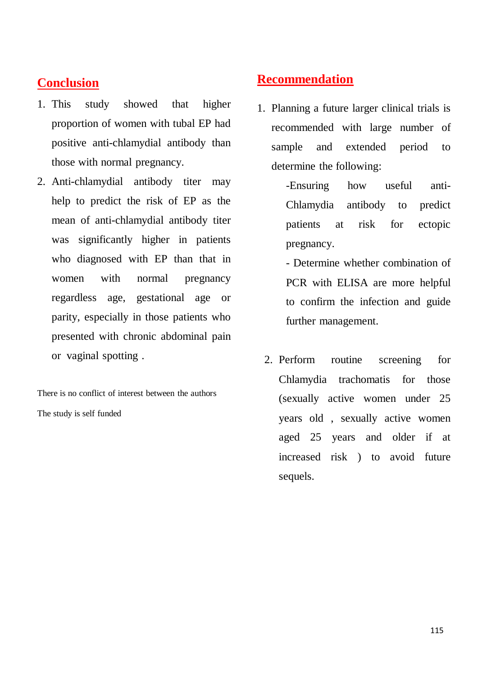# **Conclusion**

- 1. This study showed that higher proportion of women with tubal EP had positive anti-chlamydial antibody than those with normal pregnancy.
- 2. Anti-chlamydial antibody titer may help to predict the risk of EP as the mean of anti-chlamydial antibody titer was significantly higher in patients who diagnosed with EP than that in women with normal pregnancy regardless age, gestational age or parity, especially in those patients who presented with chronic abdominal pain or vaginal spotting .

There is no conflict of interest between the authors The study is self funded

## **Recommendation**

1. Planning a future larger clinical trials is recommended with large number of sample and extended period to determine the following:

> -Ensuring how useful anti-Chlamydia antibody to predict patients at risk for ectopic pregnancy.

- Determine whether combination of PCR with ELISA are more helpful to confirm the infection and guide further management.

2. Perform routine screening for Chlamydia trachomatis for those (sexually active women under 25 years old , sexually active women aged 25 years and older if at increased risk ) to avoid future sequels.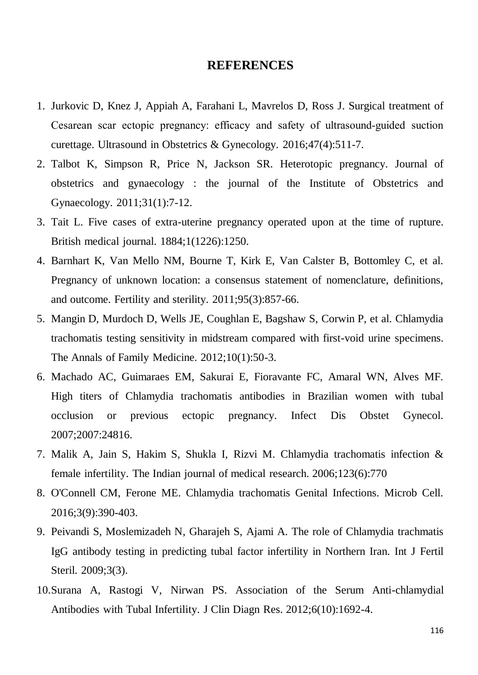#### **REFERENCES**

- 1. Jurkovic D, Knez J, Appiah A, Farahani L, Mavrelos D, Ross J. Surgical treatment of Cesarean scar ectopic pregnancy: efficacy and safety of ultrasound‐guided suction curettage. Ultrasound in Obstetrics & Gynecology. 2016;47(4):511-7.
- 2. Talbot K, Simpson R, Price N, Jackson SR. Heterotopic pregnancy. Journal of obstetrics and gynaecology : the journal of the Institute of Obstetrics and Gynaecology. 2011;31(1):7-12.
- 3. Tait L. Five cases of extra-uterine pregnancy operated upon at the time of rupture. British medical journal. 1884;1(1226):1250.
- 4. Barnhart K, Van Mello NM, Bourne T, Kirk E, Van Calster B, Bottomley C, et al. Pregnancy of unknown location: a consensus statement of nomenclature, definitions, and outcome. Fertility and sterility. 2011;95(3):857-66.
- 5. Mangin D, Murdoch D, Wells JE, Coughlan E, Bagshaw S, Corwin P, et al. Chlamydia trachomatis testing sensitivity in midstream compared with first-void urine specimens. The Annals of Family Medicine. 2012;10(1):50-3.
- 6. Machado AC, Guimaraes EM, Sakurai E, Fioravante FC, Amaral WN, Alves MF. High titers of Chlamydia trachomatis antibodies in Brazilian women with tubal occlusion or previous ectopic pregnancy. Infect Dis Obstet Gynecol. 2007;2007:24816.
- 7. Malik A, Jain S, Hakim S, Shukla I, Rizvi M. Chlamydia trachomatis infection & female infertility. The Indian journal of medical research. 2006;123(6):770
- 8. O'Connell CM, Ferone ME. Chlamydia trachomatis Genital Infections. Microb Cell. 2016;3(9):390-403.
- 9. Peivandi S, Moslemizadeh N, Gharajeh S, Ajami A. The role of Chlamydia trachmatis IgG antibody testing in predicting tubal factor infertility in Northern Iran. Int J Fertil Steril. 2009;3(3).
- 10.Surana A, Rastogi V, Nirwan PS. Association of the Serum Anti-chlamydial Antibodies with Tubal Infertility. J Clin Diagn Res. 2012;6(10):1692-4.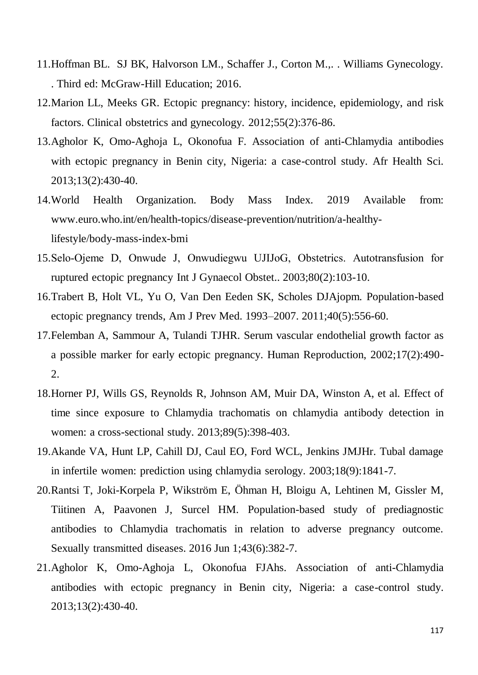- 11.Hoffman BL. SJ BK, Halvorson LM., Schaffer J., Corton M.,. . Williams Gynecology. . Third ed: McGraw-Hill Education; 2016.
- 12.Marion LL, Meeks GR. Ectopic pregnancy: history, incidence, epidemiology, and risk factors. Clinical obstetrics and gynecology. 2012;55(2):376-86.
- 13.Agholor K, Omo-Aghoja L, Okonofua F. Association of anti-Chlamydia antibodies with ectopic pregnancy in Benin city, Nigeria: a case-control study. Afr Health Sci. 2013;13(2):430-40.
- 14.World Health Organization. Body Mass Index. 2019 Available from: www.euro.who.int/en/health-topics/disease-prevention/nutrition/a-healthylifestyle/body-mass-index-bmi
- 15.Selo‐Ojeme D, Onwude J, Onwudiegwu UJIJoG, Obstetrics. Autotransfusion for ruptured ectopic pregnancy Int J Gynaecol Obstet.. 2003;80(2):103-10.
- 16.Trabert B, Holt VL, Yu O, Van Den Eeden SK, Scholes DJAjopm. Population-based ectopic pregnancy trends, Am J Prev Med. 1993–2007. 2011;40(5):556-60.
- 17.Felemban A, Sammour A, Tulandi TJHR. Serum vascular endothelial growth factor as a possible marker for early ectopic pregnancy. Human Reproduction, 2002;17(2):490- 2.
- 18.Horner PJ, Wills GS, Reynolds R, Johnson AM, Muir DA, Winston A, et al. Effect of time since exposure to Chlamydia trachomatis on chlamydia antibody detection in women: a cross-sectional study. 2013;89(5):398-403.
- 19.Akande VA, Hunt LP, Cahill DJ, Caul EO, Ford WCL, Jenkins JMJHr. Tubal damage in infertile women: prediction using chlamydia serology. 2003;18(9):1841-7.
- 20.Rantsi T, Joki-Korpela P, Wikström E, Öhman H, Bloigu A, Lehtinen M, Gissler M, Tiitinen A, Paavonen J, Surcel HM. Population-based study of prediagnostic antibodies to Chlamydia trachomatis in relation to adverse pregnancy outcome. Sexually transmitted diseases. 2016 Jun 1;43(6):382-7.
- 21.Agholor K, Omo-Aghoja L, Okonofua FJAhs. Association of anti-Chlamydia antibodies with ectopic pregnancy in Benin city, Nigeria: a case-control study. 2013;13(2):430-40.